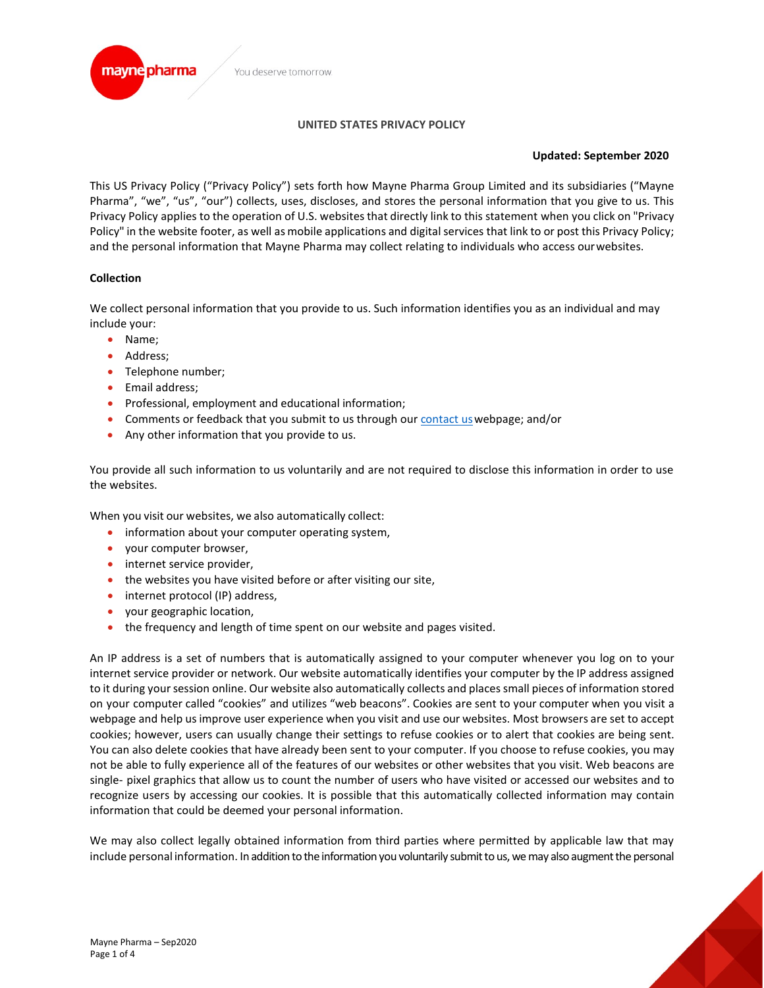## **UNITED STATES PRIVACY POLICY**

## **Updated: September 2020**

This US Privacy Policy ("Privacy Policy") sets forth how Mayne Pharma Group Limited and its subsidiaries ("Mayne Pharma", "we", "us", "our") collects, uses, discloses, and stores the personal information that you give to us. This Privacy Policy applies to the operation of U.S. websites that directly link to this statement when you click on "Privacy Policy" in the website footer, as well as mobile applications and digital services that link to or post this Privacy Policy; and the personal information that Mayne Pharma may collect relating to individuals who access ourwebsites.

# **Collection**

We collect personal information that you provide to us. Such information identifies you as an individual and may include your:

- Name;
- Address;
- Telephone number;
- Email address;
- Professional, employment and educational information;
- Comments or feedback that you submit to us through our [contact usw](https://www.maynepharma.com/contact-us/)ebpage; and/or
- Any other information that you provide to us.

You provide all such information to us voluntarily and are not required to disclose this information in order to use the websites.

When you visit our websites, we also automatically collect:

- information about your computer operating system,
- your computer browser,
- internet service provider,
- the websites you have visited before or after visiting our site,
- internet protocol (IP) address,
- your geographic location,
- the frequency and length of time spent on our website and pages visited.

An IP address is a set of numbers that is automatically assigned to your computer whenever you log on to your internet service provider or network. Our website automatically identifies your computer by the IP address assigned to it during your session online. Our website also automatically collects and places small pieces of information stored on your computer called "cookies" and utilizes "web beacons". Cookies are sent to your computer when you visit a webpage and help usimprove user experience when you visit and use our websites. Most browsers are set to accept cookies; however, users can usually change their settings to refuse cookies or to alert that cookies are being sent. You can also delete cookies that have already been sent to your computer. If you choose to refuse cookies, you may not be able to fully experience all of the features of our websites or other websites that you visit. Web beacons are single- pixel graphics that allow us to count the number of users who have visited or accessed our websites and to recognize users by accessing our cookies. It is possible that this automatically collected information may contain information that could be deemed your personal information.

We may also collect legally obtained information from third parties where permitted by applicable law that may include personal information. In addition to the information you voluntarily submit to us, we may also augment the personal

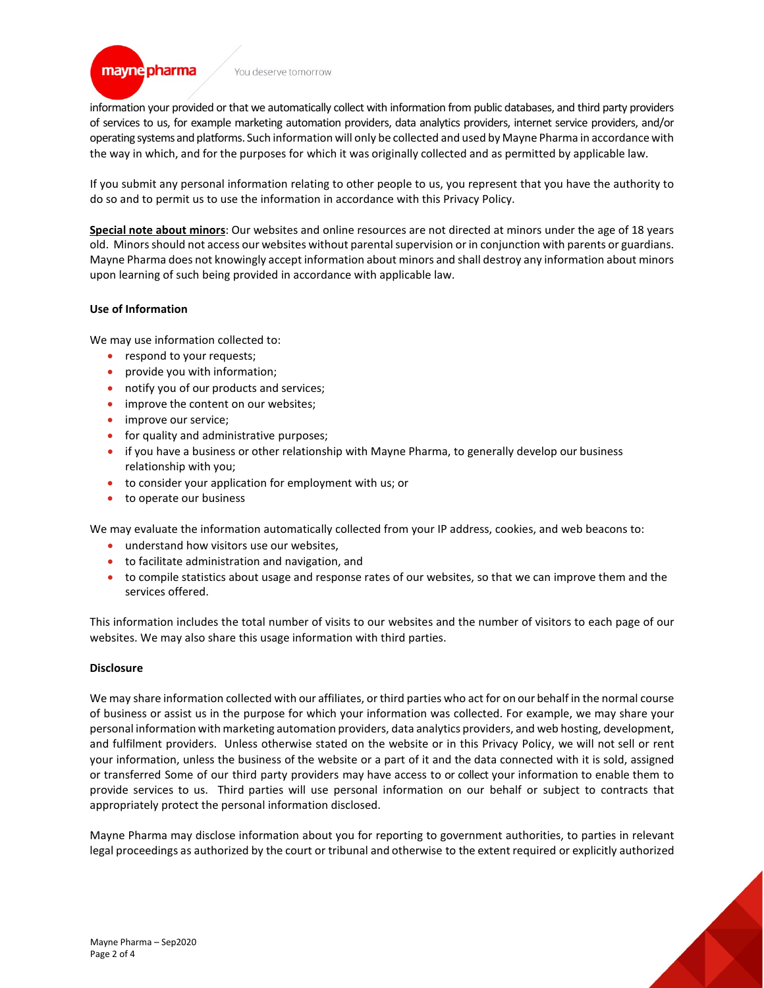#### You deserve tomorrow.

information your provided or that we automatically collect with information from public databases, and third party providers of services to us, for example marketing automation providers, data analytics providers, internet service providers, and/or operating systems and platforms. Such information will only be collected and used by Mayne Pharma in accordance with the way in which, and for the purposes for which it was originally collected and as permitted by applicable law.

If you submit any personal information relating to other people to us, you represent that you have the authority to do so and to permit us to use the information in accordance with this Privacy Policy.

**Special note about minors**: Our websites and online resources are not directed at minors under the age of 18 years old. Minors should not access our websites without parental supervision or in conjunction with parents or guardians. Mayne Pharma does not knowingly accept information about minors and shall destroy any information about minors upon learning of such being provided in accordance with applicable law.

### **Use of Information**

mayne pharma

We may use information collected to:

- respond to your requests;
- provide you with information;
- notify you of our products and services;
- improve the content on our websites;
- improve our service;
- for quality and administrative purposes;
- if you have a business or other relationship with Mayne Pharma, to generally develop our business relationship with you;
- to consider your application for employment with us; or
- to operate our business

We may evaluate the information automatically collected from your IP address, cookies, and web beacons to:

- understand how visitors use our websites,
- to facilitate administration and navigation, and
- to compile statistics about usage and response rates of our websites, so that we can improve them and the services offered.

This information includes the total number of visits to our websites and the number of visitors to each page of our websites. We may also share this usage information with third parties.

### **Disclosure**

We may share information collected with our affiliates, or third parties who act for on our behalf in the normal course of business or assist us in the purpose for which your information was collected. For example, we may share your personal information with marketing automation providers, data analytics providers, and web hosting, development, and fulfilment providers. Unless otherwise stated on the website or in this Privacy Policy, we will not sell or rent your information, unless the business of the website or a part of it and the data connected with it is sold, assigned or transferred Some of our third party providers may have access to or collect your information to enable them to provide services to us. Third parties will use personal information on our behalf or subject to contracts that appropriately protect the personal information disclosed.

Mayne Pharma may disclose information about you for reporting to government authorities, to parties in relevant legal proceedings as authorized by the court or tribunal and otherwise to the extent required or explicitly authorized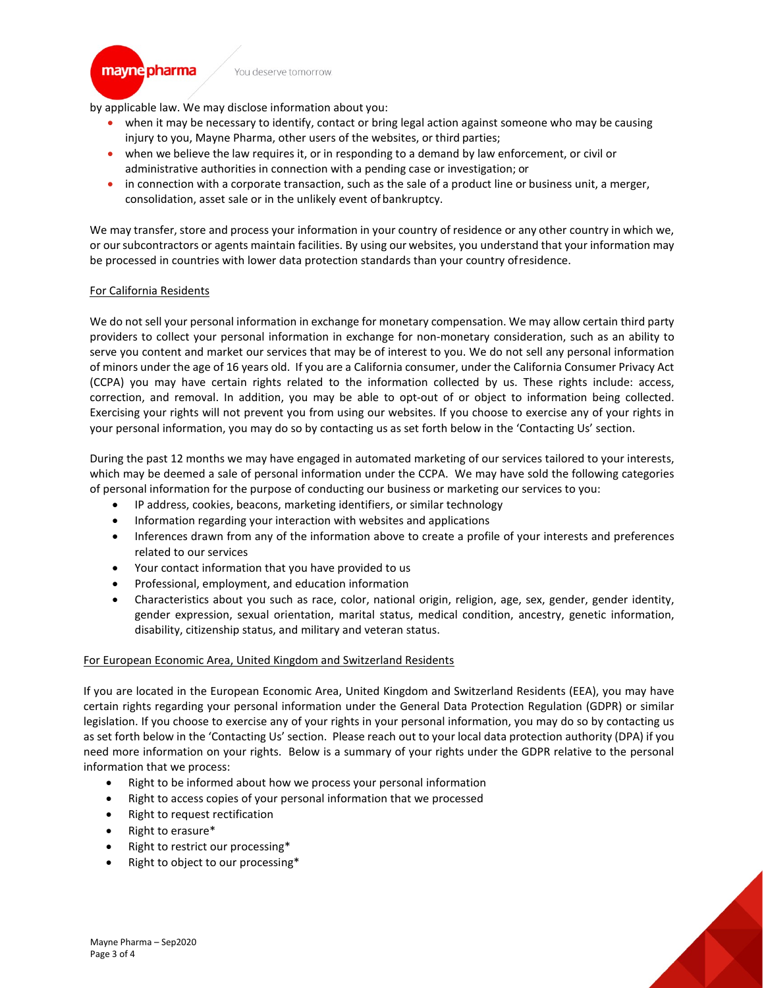You deserve tomorrow.

by applicable law. We may disclose information about you:

- when it may be necessary to identify, contact or bring legal action against someone who may be causing injury to you, Mayne Pharma, other users of the websites, or third parties;
- when we believe the law requires it, or in responding to a demand by law enforcement, or civil or administrative authorities in connection with a pending case or investigation; or
- in connection with a corporate transaction, such as the sale of a product line or business unit, a merger, consolidation, asset sale or in the unlikely event of bankruptcy.

We may transfer, store and process your information in your country of residence or any other country in which we, or our subcontractors or agents maintain facilities. By using our websites, you understand that your information may be processed in countries with lower data protection standards than your country ofresidence.

### For California Residents

mayne pharma

We do not sell your personal information in exchange for monetary compensation. We may allow certain third party providers to collect your personal information in exchange for non-monetary consideration, such as an ability to serve you content and market our services that may be of interest to you. We do not sell any personal information of minors under the age of 16 years old. If you are a California consumer, under the California Consumer Privacy Act (CCPA) you may have certain rights related to the information collected by us. These rights include: access, correction, and removal. In addition, you may be able to opt-out of or object to information being collected. Exercising your rights will not prevent you from using our websites. If you choose to exercise any of your rights in your personal information, you may do so by contacting us as set forth below in the 'Contacting Us' section.

During the past 12 months we may have engaged in automated marketing of our services tailored to your interests, which may be deemed a sale of personal information under the CCPA. We may have sold the following categories of personal information for the purpose of conducting our business or marketing our services to you:

- IP address, cookies, beacons, marketing identifiers, or similar technology
- Information regarding your interaction with websites and applications
- Inferences drawn from any of the information above to create a profile of your interests and preferences related to our services
- Your contact information that you have provided to us
- Professional, employment, and education information
- Characteristics about you such as race, color, national origin, religion, age, sex, gender, gender identity, gender expression, sexual orientation, marital status, medical condition, ancestry, genetic information, disability, citizenship status, and military and veteran status.

### For European Economic Area, United Kingdom and Switzerland Residents

If you are located in the European Economic Area, United Kingdom and Switzerland Residents (EEA), you may have certain rights regarding your personal information under the General Data Protection Regulation (GDPR) or similar legislation. If you choose to exercise any of your rights in your personal information, you may do so by contacting us as set forth below in the 'Contacting Us' section. Please reach out to your local data protection authority (DPA) if you need more information on your rights. Below is a summary of your rights under the GDPR relative to the personal information that we process:

- Right to be informed about how we process your personal information
- Right to access copies of your personal information that we processed
- Right to request rectification
- Right to erasure\*
- Right to restrict our processing\*
- Right to object to our processing\*